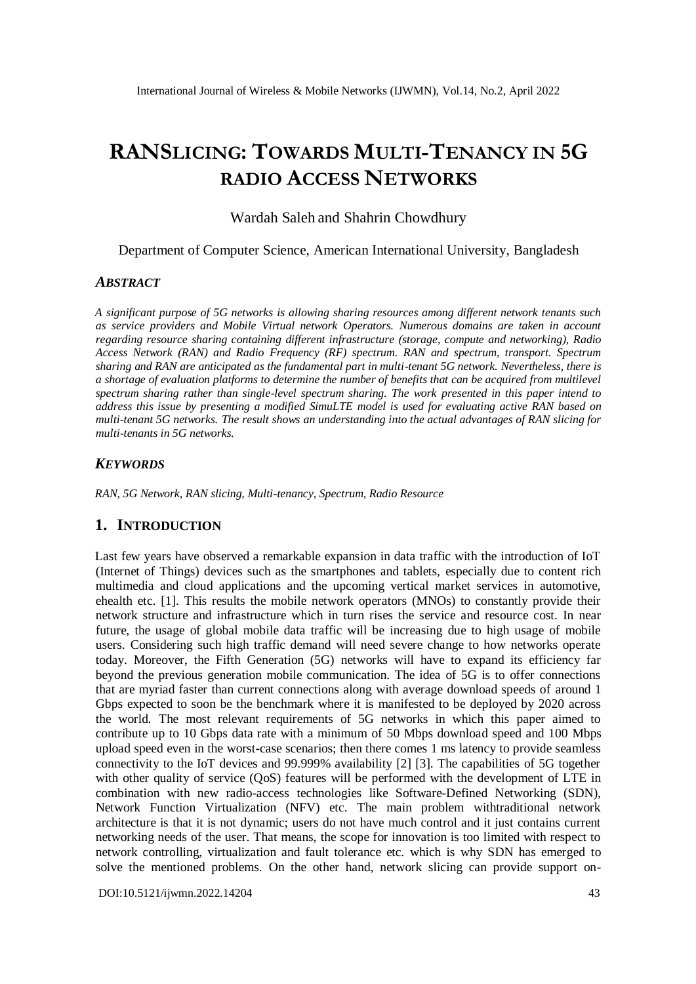# **RANSLICING: TOWARDS MULTI-TENANCY IN 5G RADIO ACCESS NETWORKS**

Wardah Saleh and Shahrin Chowdhury

Department of Computer Science, American International University, Bangladesh

#### *ABSTRACT*

*A significant purpose of 5G networks is allowing sharing resources among different network tenants such as service providers and Mobile Virtual network Operators. Numerous domains are taken in account regarding resource sharing containing different infrastructure (storage, compute and networking), Radio Access Network (RAN) and Radio Frequency (RF) spectrum. RAN and spectrum, transport. Spectrum sharing and RAN are anticipated as the fundamental part in multi-tenant 5G network. Nevertheless, there is a shortage of evaluation platforms to determine the number of benefits that can be acquired from multilevel spectrum sharing rather than single-level spectrum sharing. The work presented in this paper intend to address this issue by presenting a modified SimuLTE model is used for evaluating active RAN based on multi-tenant 5G networks. The result shows an understanding into the actual advantages of RAN slicing for multi-tenants in 5G networks.* 

### *KEYWORDS*

*RAN, 5G Network, RAN slicing, Multi-tenancy, Spectrum, Radio Resource* 

### **1. INTRODUCTION**

Last few years have observed a remarkable expansion in data traffic with the introduction of IoT (Internet of Things) devices such as the smartphones and tablets, especially due to content rich multimedia and cloud applications and the upcoming vertical market services in automotive, ehealth etc. [1]. This results the mobile network operators (MNOs) to constantly provide their network structure and infrastructure which in turn rises the service and resource cost. In near future, the usage of global mobile data traffic will be increasing due to high usage of mobile users. Considering such high traffic demand will need severe change to how networks operate today. Moreover, the Fifth Generation (5G) networks will have to expand its efficiency far beyond the previous generation mobile communication. The idea of 5G is to offer connections that are myriad faster than current connections along with average download speeds of around 1 Gbps expected to soon be the benchmark where it is manifested to be deployed by 2020 across the world. The most relevant requirements of 5G networks in which this paper aimed to contribute up to 10 Gbps data rate with a minimum of 50 Mbps download speed and 100 Mbps upload speed even in the worst-case scenarios; then there comes 1 ms latency to provide seamless connectivity to the IoT devices and 99.999% availability [2] [3]. The capabilities of 5G together with other quality of service (QoS) features will be performed with the development of LTE in combination with new radio-access technologies like Software-Defined Networking (SDN), Network Function Virtualization (NFV) etc. The main problem withtraditional network architecture is that it is not dynamic; users do not have much control and it just contains current networking needs of the user. That means, the scope for innovation is too limited with respect to network controlling, virtualization and fault tolerance etc. which is why SDN has emerged to solve the mentioned problems. On the other hand, network slicing can provide support on-

[DOI:10.5121/ijwmn.2022.14204](https://doi.org/10.5121/ijwmn.2022.14204) 43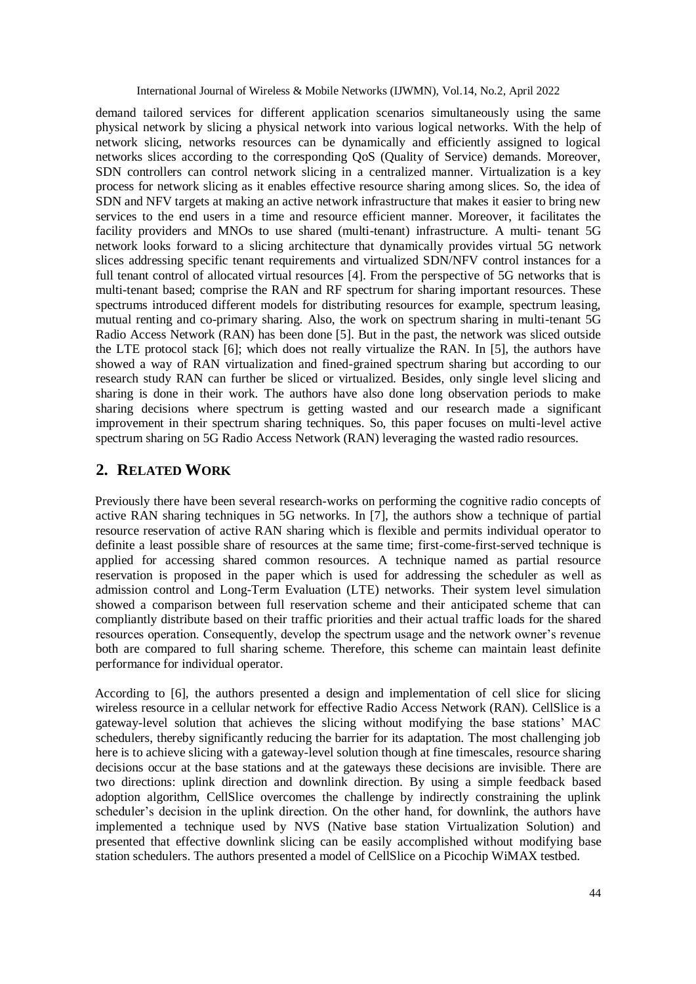demand tailored services for different application scenarios simultaneously using the same physical network by slicing a physical network into various logical networks. With the help of network slicing, networks resources can be dynamically and efficiently assigned to logical networks slices according to the corresponding QoS (Quality of Service) demands. Moreover, SDN controllers can control network slicing in a centralized manner. Virtualization is a key process for network slicing as it enables effective resource sharing among slices. So, the idea of SDN and NFV targets at making an active network infrastructure that makes it easier to bring new services to the end users in a time and resource efficient manner. Moreover, it facilitates the facility providers and MNOs to use shared (multi-tenant) infrastructure. A multi- tenant 5G network looks forward to a slicing architecture that dynamically provides virtual 5G network slices addressing specific tenant requirements and virtualized SDN/NFV control instances for a full tenant control of allocated virtual resources [4]. From the perspective of 5G networks that is multi-tenant based; comprise the RAN and RF spectrum for sharing important resources. These spectrums introduced different models for distributing resources for example, spectrum leasing, mutual renting and co-primary sharing. Also, the work on spectrum sharing in multi-tenant 5G Radio Access Network (RAN) has been done [5]. But in the past, the network was sliced outside the LTE protocol stack [6]; which does not really virtualize the RAN. In [5], the authors have showed a way of RAN virtualization and fined-grained spectrum sharing but according to our research study RAN can further be sliced or virtualized. Besides, only single level slicing and sharing is done in their work. The authors have also done long observation periods to make sharing decisions where spectrum is getting wasted and our research made a significant improvement in their spectrum sharing techniques. So, this paper focuses on multi-level active spectrum sharing on 5G Radio Access Network (RAN) leveraging the wasted radio resources.

## **2. RELATED WORK**

Previously there have been several research-works on performing the cognitive radio concepts of active RAN sharing techniques in 5G networks. In [7], the authors show a technique of partial resource reservation of active RAN sharing which is flexible and permits individual operator to definite a least possible share of resources at the same time; first-come-first-served technique is applied for accessing shared common resources. A technique named as partial resource reservation is proposed in the paper which is used for addressing the scheduler as well as admission control and Long-Term Evaluation (LTE) networks. Their system level simulation showed a comparison between full reservation scheme and their anticipated scheme that can compliantly distribute based on their traffic priorities and their actual traffic loads for the shared resources operation. Consequently, develop the spectrum usage and the network owner's revenue both are compared to full sharing scheme. Therefore, this scheme can maintain least definite performance for individual operator.

According to [6], the authors presented a design and implementation of cell slice for slicing wireless resource in a cellular network for effective Radio Access Network (RAN). CellSlice is a gateway-level solution that achieves the slicing without modifying the base stations' MAC schedulers, thereby significantly reducing the barrier for its adaptation. The most challenging job here is to achieve slicing with a gateway-level solution though at fine timescales, resource sharing decisions occur at the base stations and at the gateways these decisions are invisible. There are two directions: uplink direction and downlink direction. By using a simple feedback based adoption algorithm, CellSlice overcomes the challenge by indirectly constraining the uplink scheduler's decision in the uplink direction. On the other hand, for downlink, the authors have implemented a technique used by NVS (Native base station Virtualization Solution) and presented that effective downlink slicing can be easily accomplished without modifying base station schedulers. The authors presented a model of CellSlice on a Picochip WiMAX testbed.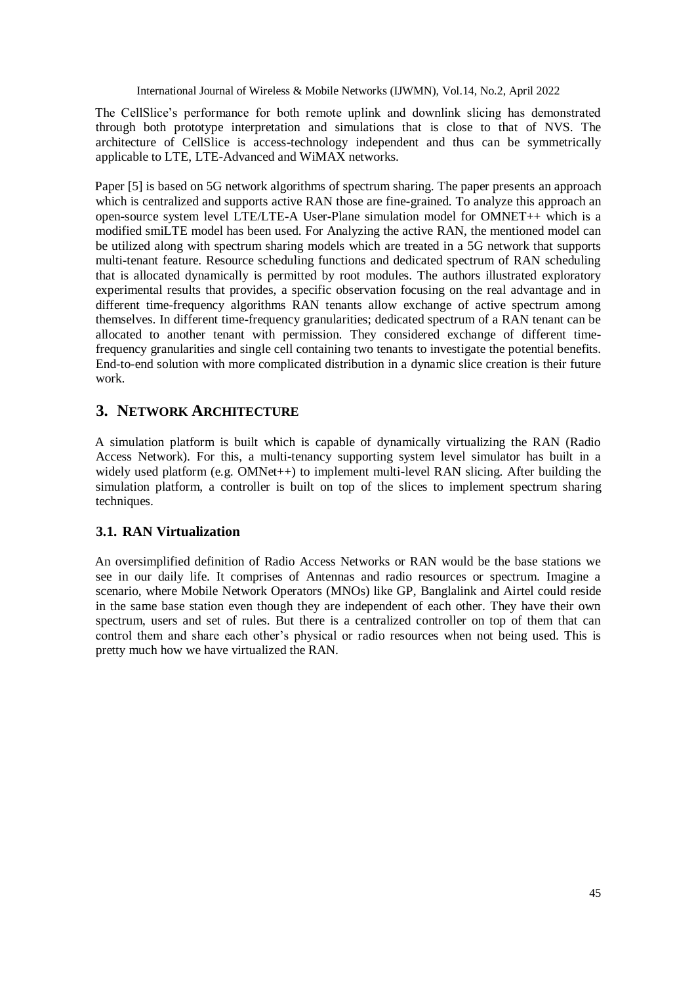The CellSlice's performance for both remote uplink and downlink slicing has demonstrated through both prototype interpretation and simulations that is close to that of NVS. The architecture of CellSlice is access-technology independent and thus can be symmetrically applicable to LTE, LTE-Advanced and WiMAX networks.

Paper [5] is based on 5G network algorithms of spectrum sharing. The paper presents an approach which is centralized and supports active RAN those are fine-grained. To analyze this approach an open-source system level LTE/LTE-A User-Plane simulation model for OMNET++ which is a modified smiLTE model has been used. For Analyzing the active RAN, the mentioned model can be utilized along with spectrum sharing models which are treated in a 5G network that supports multi-tenant feature. Resource scheduling functions and dedicated spectrum of RAN scheduling that is allocated dynamically is permitted by root modules. The authors illustrated exploratory experimental results that provides, a specific observation focusing on the real advantage and in different time-frequency algorithms RAN tenants allow exchange of active spectrum among themselves. In different time-frequency granularities; dedicated spectrum of a RAN tenant can be allocated to another tenant with permission. They considered exchange of different timefrequency granularities and single cell containing two tenants to investigate the potential benefits. End-to-end solution with more complicated distribution in a dynamic slice creation is their future work.

# **3. NETWORK ARCHITECTURE**

A simulation platform is built which is capable of dynamically virtualizing the RAN (Radio Access Network). For this, a multi-tenancy supporting system level simulator has built in a widely used platform (e.g. OMNet++) to implement multi-level RAN slicing. After building the simulation platform, a controller is built on top of the slices to implement spectrum sharing techniques.

# **3.1. RAN Virtualization**

An oversimplified definition of Radio Access Networks or RAN would be the base stations we see in our daily life. It comprises of Antennas and radio resources or spectrum. Imagine a scenario, where Mobile Network Operators (MNOs) like GP, Banglalink and Airtel could reside in the same base station even though they are independent of each other. They have their own spectrum, users and set of rules. But there is a centralized controller on top of them that can control them and share each other's physical or radio resources when not being used. This is pretty much how we have virtualized the RAN.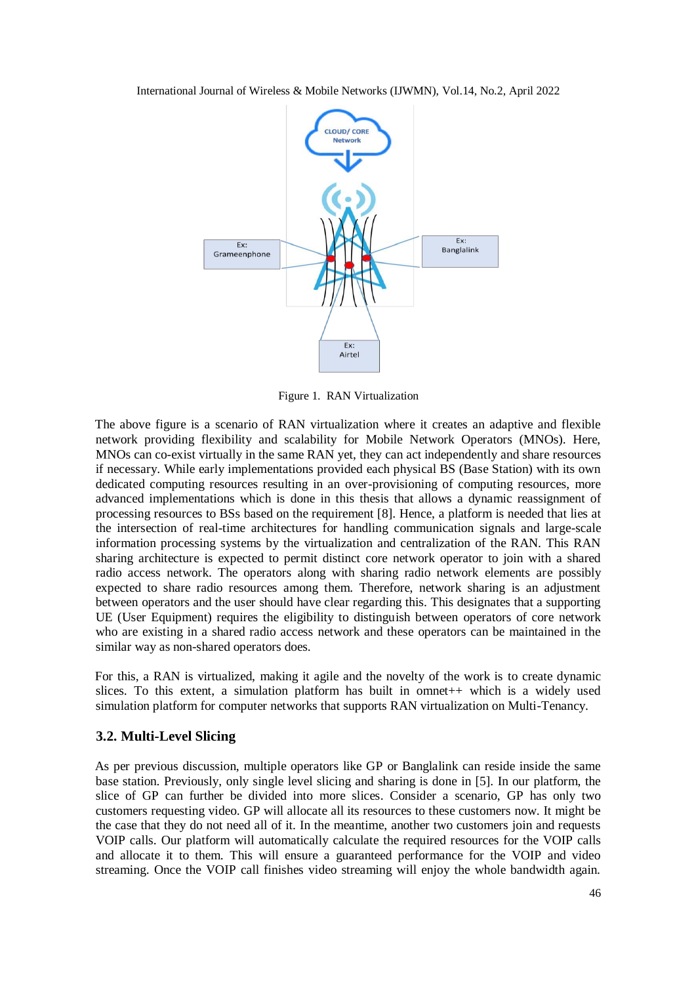

Figure 1. RAN Virtualization

The above figure is a scenario of RAN virtualization where it creates an adaptive and flexible network providing flexibility and scalability for Mobile Network Operators (MNOs). Here, MNOs can co-exist virtually in the same RAN yet, they can act independently and share resources if necessary. While early implementations provided each physical BS (Base Station) with its own dedicated computing resources resulting in an over-provisioning of computing resources, more advanced implementations which is done in this thesis that allows a dynamic reassignment of processing resources to BSs based on the requirement [8]. Hence, a platform is needed that lies at the intersection of real-time architectures for handling communication signals and large-scale information processing systems by the virtualization and centralization of the RAN. This RAN sharing architecture is expected to permit distinct core network operator to join with a shared radio access network. The operators along with sharing radio network elements are possibly expected to share radio resources among them. Therefore, network sharing is an adjustment between operators and the user should have clear regarding this. This designates that a supporting UE (User Equipment) requires the eligibility to distinguish between operators of core network who are existing in a shared radio access network and these operators can be maintained in the similar way as non-shared operators does.

For this, a RAN is virtualized, making it agile and the novelty of the work is to create dynamic slices. To this extent, a simulation platform has built in omnet++ which is a widely used simulation platform for computer networks that supports RAN virtualization on Multi-Tenancy.

### **3.2. Multi-Level Slicing**

As per previous discussion, multiple operators like GP or Banglalink can reside inside the same base station. Previously, only single level slicing and sharing is done in [5]. In our platform, the slice of GP can further be divided into more slices. Consider a scenario, GP has only two customers requesting video. GP will allocate all its resources to these customers now. It might be the case that they do not need all of it. In the meantime, another two customers join and requests VOIP calls. Our platform will automatically calculate the required resources for the VOIP calls and allocate it to them. This will ensure a guaranteed performance for the VOIP and video streaming. Once the VOIP call finishes video streaming will enjoy the whole bandwidth again.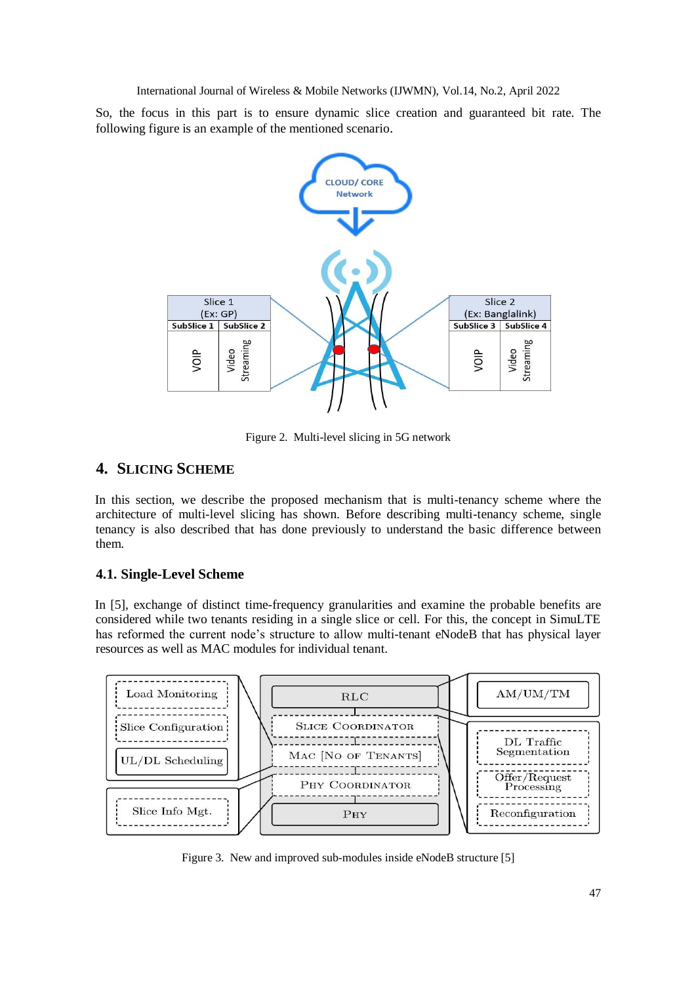So, the focus in this part is to ensure dynamic slice creation and guaranteed bit rate. The following figure is an example of the mentioned scenario.



Figure 2. Multi-level slicing in 5G network

# **4. SLICING SCHEME**

In this section, we describe the proposed mechanism that is multi-tenancy scheme where the architecture of multi-level slicing has shown. Before describing multi-tenancy scheme, single tenancy is also described that has done previously to understand the basic difference between them.

### **4.1. Single-Level Scheme**

In [5], exchange of distinct time-frequency granularities and examine the probable benefits are considered while two tenants residing in a single slice or cell. For this, the concept in SimuLTE has reformed the current node's structure to allow multi-tenant eNodeB that has physical layer resources as well as MAC modules for individual tenant.



Figure 3. New and improved sub-modules inside eNodeB structure [5]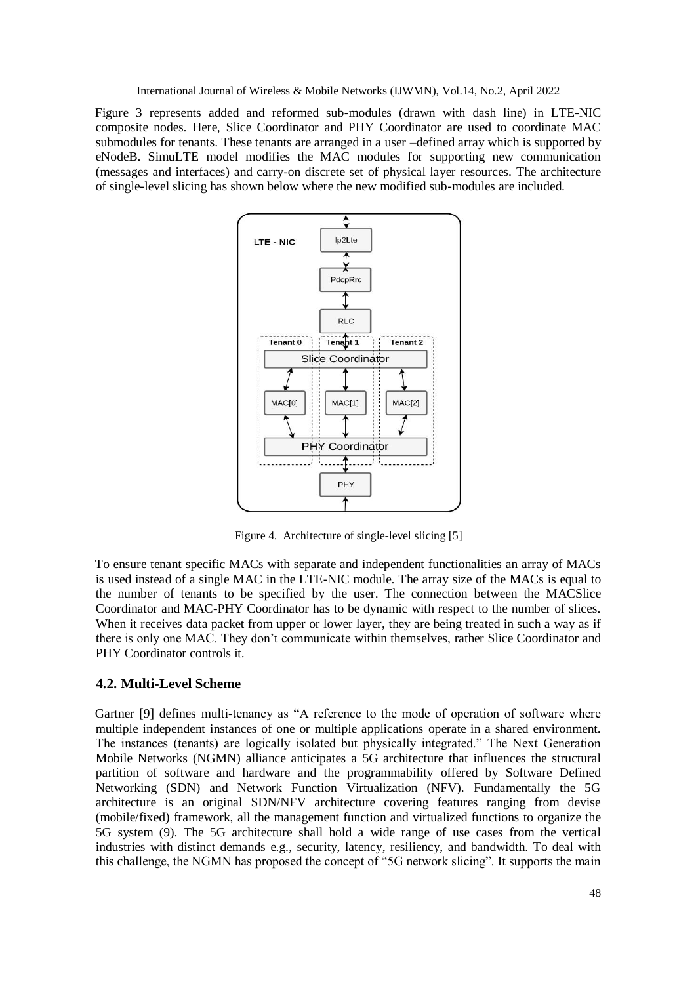Figure 3 represents added and reformed sub-modules (drawn with dash line) in LTE-NIC composite nodes. Here, Slice Coordinator and PHY Coordinator are used to coordinate MAC submodules for tenants. These tenants are arranged in a user –defined array which is supported by eNodeB. SimuLTE model modifies the MAC modules for supporting new communication (messages and interfaces) and carry-on discrete set of physical layer resources. The architecture of single-level slicing has shown below where the new modified sub-modules are included.



Figure 4. Architecture of single-level slicing [5]

To ensure tenant specific MACs with separate and independent functionalities an array of MACs is used instead of a single MAC in the LTE-NIC module. The array size of the MACs is equal to the number of tenants to be specified by the user. The connection between the MACSlice Coordinator and MAC-PHY Coordinator has to be dynamic with respect to the number of slices. When it receives data packet from upper or lower layer, they are being treated in such a way as if there is only one MAC. They don't communicate within themselves, rather Slice Coordinator and PHY Coordinator controls it.

### **4.2. Multi-Level Scheme**

Gartner [9] defines multi-tenancy as "A reference to the mode of operation of software where multiple independent instances of one or multiple applications operate in a shared environment. The instances (tenants) are logically isolated but physically integrated." The Next Generation Mobile Networks (NGMN) alliance anticipates a 5G architecture that influences the structural partition of software and hardware and the programmability offered by Software Defined Networking (SDN) and Network Function Virtualization (NFV). Fundamentally the 5G architecture is an original SDN/NFV architecture covering features ranging from devise (mobile/fixed) framework, all the management function and virtualized functions to organize the 5G system (9). The 5G architecture shall hold a wide range of use cases from the vertical industries with distinct demands e.g., security, latency, resiliency, and bandwidth. To deal with this challenge, the NGMN has proposed the concept of "5G network slicing". It supports the main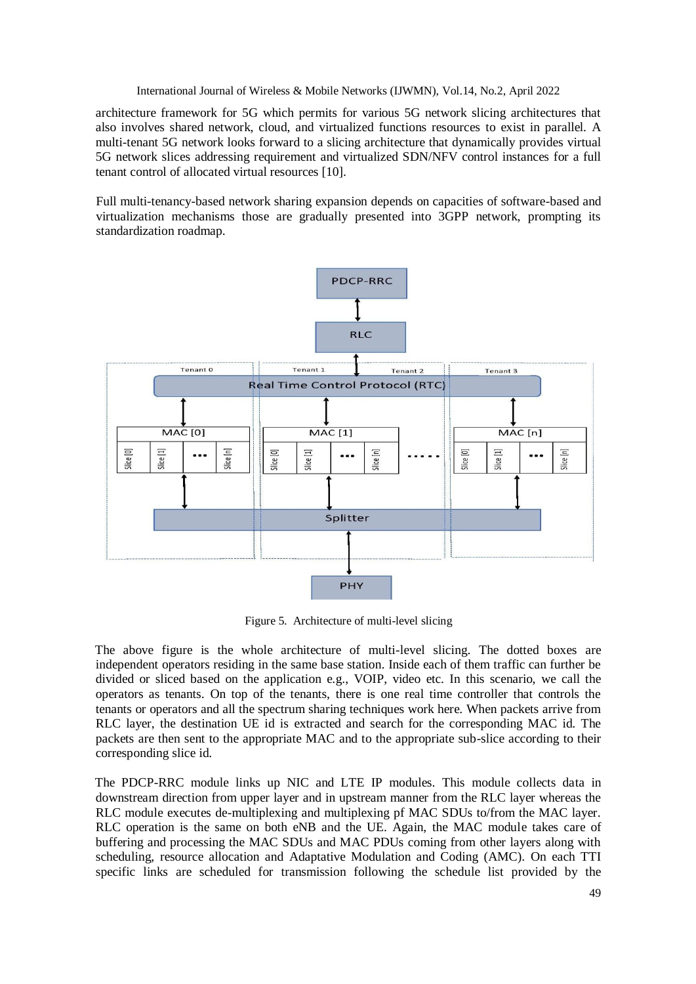architecture framework for 5G which permits for various 5G network slicing architectures that also involves shared network, cloud, and virtualized functions resources to exist in parallel. A multi-tenant 5G network looks forward to a slicing architecture that dynamically provides virtual 5G network slices addressing requirement and virtualized SDN/NFV control instances for a full tenant control of allocated virtual resources [10].

Full multi-tenancy-based network sharing expansion depends on capacities of software-based and virtualization mechanisms those are gradually presented into 3GPP network, prompting its standardization roadmap.



Figure 5. Architecture of multi-level slicing

The above figure is the whole architecture of multi-level slicing. The dotted boxes are independent operators residing in the same base station. Inside each of them traffic can further be divided or sliced based on the application e.g., VOIP, video etc. In this scenario, we call the operators as tenants. On top of the tenants, there is one real time controller that controls the tenants or operators and all the spectrum sharing techniques work here. When packets arrive from RLC layer, the destination UE id is extracted and search for the corresponding MAC id. The packets are then sent to the appropriate MAC and to the appropriate sub-slice according to their corresponding slice id.

The PDCP-RRC module links up NIC and LTE IP modules. This module collects data in downstream direction from upper layer and in upstream manner from the RLC layer whereas the RLC module executes de-multiplexing and multiplexing pf MAC SDUs to/from the MAC layer. RLC operation is the same on both eNB and the UE. Again, the MAC module takes care of buffering and processing the MAC SDUs and MAC PDUs coming from other layers along with scheduling, resource allocation and Adaptative Modulation and Coding (AMC). On each TTI specific links are scheduled for transmission following the schedule list provided by the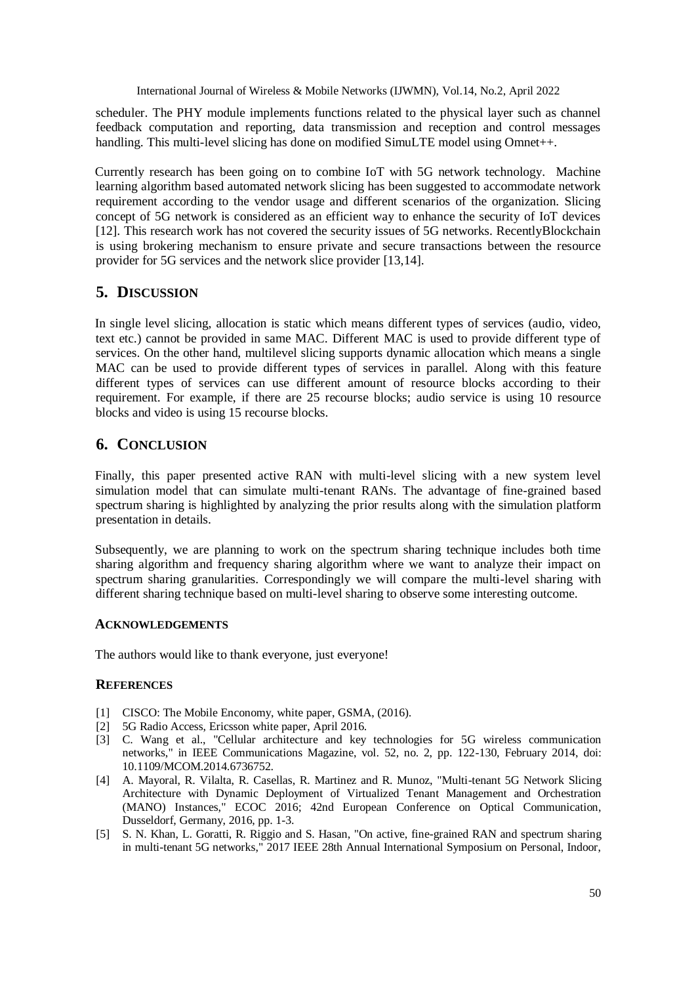scheduler. The PHY module implements functions related to the physical layer such as channel feedback computation and reporting, data transmission and reception and control messages handling. This multi-level slicing has done on modified SimuLTE model using Omnet++.

Currently research has been going on to combine IoT with 5G network technology. Machine learning algorithm based automated network slicing has been suggested to accommodate network requirement according to the vendor usage and different scenarios of the organization. Slicing concept of 5G network is considered as an efficient way to enhance the security of IoT devices [12]. This research work has not covered the security issues of 5G networks. RecentlyBlockchain is using brokering mechanism to ensure private and secure transactions between the resource provider for 5G services and the network slice provider [13,14].

## **5. DISCUSSION**

In single level slicing, allocation is static which means different types of services (audio, video, text etc.) cannot be provided in same MAC. Different MAC is used to provide different type of services. On the other hand, multilevel slicing supports dynamic allocation which means a single MAC can be used to provide different types of services in parallel. Along with this feature different types of services can use different amount of resource blocks according to their requirement. For example, if there are 25 recourse blocks; audio service is using 10 resource blocks and video is using 15 recourse blocks.

# **6. CONCLUSION**

Finally, this paper presented active RAN with multi-level slicing with a new system level simulation model that can simulate multi-tenant RANs. The advantage of fine-grained based spectrum sharing is highlighted by analyzing the prior results along with the simulation platform presentation in details.

Subsequently, we are planning to work on the spectrum sharing technique includes both time sharing algorithm and frequency sharing algorithm where we want to analyze their impact on spectrum sharing granularities. Correspondingly we will compare the multi-level sharing with different sharing technique based on multi-level sharing to observe some interesting outcome.

### **ACKNOWLEDGEMENTS**

The authors would like to thank everyone, just everyone!

### **REFERENCES**

- [1] CISCO: The Mobile Enconomy, white paper, GSMA, (2016).
- [2] 5G Radio Access, Ericsson white paper, April 2016.
- [3] C. Wang et al., "Cellular architecture and key technologies for 5G wireless communication networks," in IEEE Communications Magazine, vol. 52, no. 2, pp. 122-130, February 2014, doi: 10.1109/MCOM.2014.6736752.
- [4] A. Mayoral, R. Vilalta, R. Casellas, R. Martinez and R. Munoz, "Multi-tenant 5G Network Slicing Architecture with Dynamic Deployment of Virtualized Tenant Management and Orchestration (MANO) Instances," ECOC 2016; 42nd European Conference on Optical Communication, Dusseldorf, Germany, 2016, pp. 1-3.
- [5] S. N. Khan, L. Goratti, R. Riggio and S. Hasan, "On active, fine-grained RAN and spectrum sharing in multi-tenant 5G networks," 2017 IEEE 28th Annual International Symposium on Personal, Indoor,